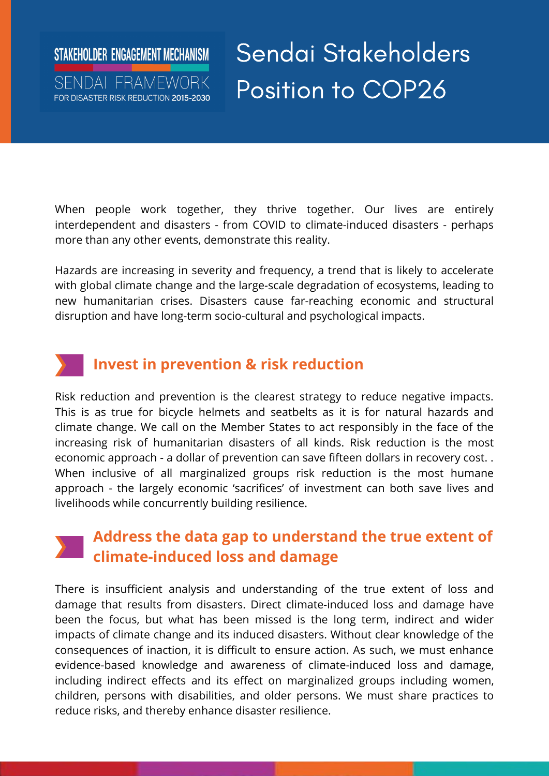#### STAKEHOLDER ENGAGEMENT MECHANISM SENDAL FRAMEWORK FOR DISASTER RISK REDUCTION 2015-2030

Sendai Stakeholders Position to COP26

When people work together, they thrive together. Our lives are entirely interdependent and disasters - from COVID to climate-induced disasters - perhaps more than any other events, demonstrate this reality.

Hazards are increasing in severity and frequency, a trend that is likely to accelerate with global climate change and the large-scale degradation of ecosystems, leading to new humanitarian crises. Disasters cause far-reaching economic and structural disruption and have long-term socio-cultural and psychological impacts.

## **Invest in prevention & risk reduction**

Risk reduction and prevention is the clearest strategy to reduce negative impacts. This is as true for bicycle helmets and seatbelts as it is for natural hazards and climate change. We call on the Member States to act responsibly in the face of the increasing risk of humanitarian disasters of all kinds. Risk reduction is the most economic approach - a dollar of prevention can save fifteen dollars in recovery cost. . When inclusive of all marginalized groups risk reduction is the most humane approach - the largely economic 'sacrifices' of investment can both save lives and livelihoods while concurrently building resilience.

#### **Address the data gap to understand the true extent of climate-induced loss and damage**

There is insufficient analysis and understanding of the true extent of loss and damage that results from disasters. Direct climate-induced loss and damage have been the focus, but what has been missed is the long term, indirect and wider impacts of climate change and its induced disasters. Without clear knowledge of the consequences of inaction, it is difficult to ensure action. As such, we must enhance evidence-based knowledge and awareness of climate-induced loss and damage, including indirect effects and its effect on marginalized groups including women, children, persons with disabilities, and older persons. We must share practices to reduce risks, and thereby enhance disaster resilience.